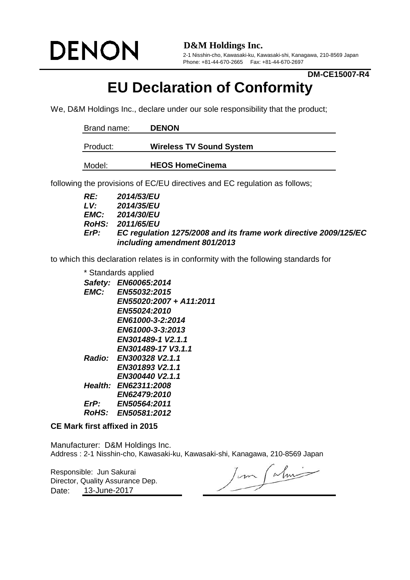# **DENON**

**D&M Holdings Inc.**

2-1 Nisshin-cho, Kawasaki-ku, Kawasaki-shi, Kanagawa, 210-8569 Japan Phone: +81-44-670-2665 Fax: +81-44-670-2697

#### **DM-CE15007-R4**

## **EU Declaration of Conformity**

We, D&M Holdings Inc., declare under our sole responsibility that the product;

| Brand name: | <b>DENON</b>                    |
|-------------|---------------------------------|
| Product:    | <b>Wireless TV Sound System</b> |
| Model:      | <b>HEOS HomeCinema</b>          |

following the provisions of EC/EU directives and EC regulation as follows;

| RE:         | <b>2014/53/EU</b>                                                |
|-------------|------------------------------------------------------------------|
| LV.         | 2014/35/EU                                                       |
|             | <b>EMC:</b> 2014/30/EU                                           |
|             | RoHS: 2011/65/EU                                                 |
| <i>ErP:</i> | EC regulation 1275/2008 and its frame work directive 2009/125/EC |
|             | including amendment 801/2013                                     |

to which this declaration relates is in conformity with the following standards for

*Safety: EN60065:2014 EMC: EN55032:2015 EN55020:2007 + A11:2011 EN55024:2010 EN61000-3-2:2014 EN61000-3-3:2013 EN301489-1 V2.1.1 EN301489-17 V3.1.1 Radio: EN300328 V2.1.1 EN301893 V2.1.1 EN300440 V2.1.1 Health: EN62311:2008 EN62479:2010 ErP: EN50564:2011 RoHS: EN50581:2012* \* Standards applied

#### **CE Mark first affixed in 2015**

Manufacturer: D&M Holdings Inc. Address : 2-1 Nisshin-cho, Kawasaki-ku, Kawasaki-shi, Kanagawa, 210-8569 Japan

Responsible: Jun Sakurai Date: 13-June-2017 Director, Quality Assurance Dep.

Jun Calmi